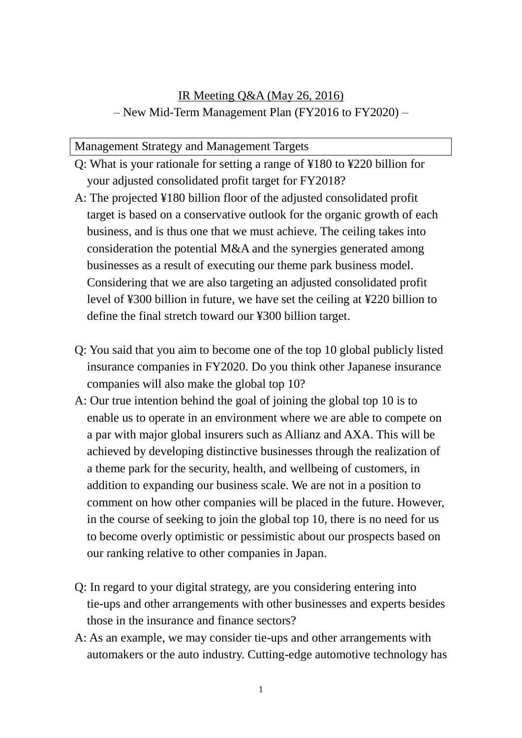# IR Meeting Q&A (May 26, 2016) – New Mid-Term Management Plan (FY2016 to FY2020) –

## Management Strategy and Management Targets

- Q: What is your rationale for setting a range of ¥180 to ¥220 billion for your adjusted consolidated profit target for FY2018?
- A: The projected ¥180 billion floor of the adjusted consolidated profit target is based on a conservative outlook for the organic growth of each business, and is thus one that we must achieve. The ceiling takes into consideration the potential M&A and the synergies generated among businesses as a result of executing our theme park business model. Considering that we are also targeting an adjusted consolidated profit level of ¥300 billion in future, we have set the ceiling at ¥220 billion to define the final stretch toward our ¥300 billion target.
- Q: You said that you aim to become one of the top 10 global publicly listed insurance companies in FY2020. Do you think other Japanese insurance companies will also make the global top 10?
- A: Our true intention behind the goal of joining the global top 10 is to enable us to operate in an environment where we are able to compete on a par with major global insurers such as Allianz and AXA. This will be achieved by developing distinctive businesses through the realization of a theme park for the security, health, and wellbeing of customers, in addition to expanding our business scale. We are not in a position to comment on how other companies will be placed in the future. However, in the course of seeking to join the global top 10, there is no need for us to become overly optimistic or pessimistic about our prospects based on our ranking relative to other companies in Japan.
- Q: In regard to your digital strategy, are you considering entering into tie-ups and other arrangements with other businesses and experts besides those in the insurance and finance sectors?
- A: As an example, we may consider tie-ups and other arrangements with automakers or the auto industry. Cutting-edge automotive technology has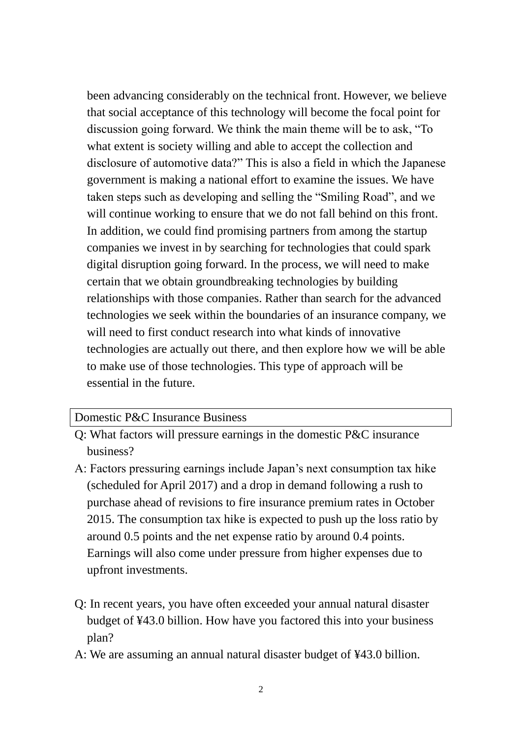been advancing considerably on the technical front. However, we believe that social acceptance of this technology will become the focal point for discussion going forward. We think the main theme will be to ask, "To what extent is society willing and able to accept the collection and disclosure of automotive data?" This is also a field in which the Japanese government is making a national effort to examine the issues. We have taken steps such as developing and selling the "Smiling Road", and we will continue working to ensure that we do not fall behind on this front. In addition, we could find promising partners from among the startup companies we invest in by searching for technologies that could spark digital disruption going forward. In the process, we will need to make certain that we obtain groundbreaking technologies by building relationships with those companies. Rather than search for the advanced technologies we seek within the boundaries of an insurance company, we will need to first conduct research into what kinds of innovative technologies are actually out there, and then explore how we will be able to make use of those technologies. This type of approach will be essential in the future.

#### Domestic P&C Insurance Business

- Q: What factors will pressure earnings in the domestic P&C insurance business?
- A: Factors pressuring earnings include Japan's next consumption tax hike (scheduled for April 2017) and a drop in demand following a rush to purchase ahead of revisions to fire insurance premium rates in October 2015. The consumption tax hike is expected to push up the loss ratio by around 0.5 points and the net expense ratio by around 0.4 points. Earnings will also come under pressure from higher expenses due to upfront investments.
- Q: In recent years, you have often exceeded your annual natural disaster budget of ¥43.0 billion. How have you factored this into your business plan?
- A: We are assuming an annual natural disaster budget of ¥43.0 billion.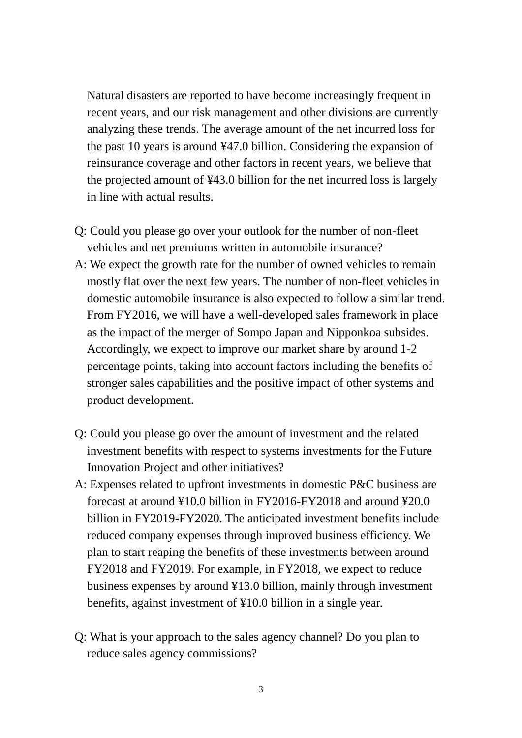Natural disasters are reported to have become increasingly frequent in recent years, and our risk management and other divisions are currently analyzing these trends. The average amount of the net incurred loss for the past 10 years is around ¥47.0 billion. Considering the expansion of reinsurance coverage and other factors in recent years, we believe that the projected amount of ¥43.0 billion for the net incurred loss is largely in line with actual results.

- Q: Could you please go over your outlook for the number of non-fleet vehicles and net premiums written in automobile insurance?
- A: We expect the growth rate for the number of owned vehicles to remain mostly flat over the next few years. The number of non-fleet vehicles in domestic automobile insurance is also expected to follow a similar trend. From FY2016, we will have a well-developed sales framework in place as the impact of the merger of Sompo Japan and Nipponkoa subsides. Accordingly, we expect to improve our market share by around 1-2 percentage points, taking into account factors including the benefits of stronger sales capabilities and the positive impact of other systems and product development.
- Q: Could you please go over the amount of investment and the related investment benefits with respect to systems investments for the Future Innovation Project and other initiatives?
- A: Expenses related to upfront investments in domestic P&C business are forecast at around ¥10.0 billion in FY2016-FY2018 and around ¥20.0 billion in FY2019-FY2020. The anticipated investment benefits include reduced company expenses through improved business efficiency. We plan to start reaping the benefits of these investments between around FY2018 and FY2019. For example, in FY2018, we expect to reduce business expenses by around ¥13.0 billion, mainly through investment benefits, against investment of ¥10.0 billion in a single year.
- Q: What is your approach to the sales agency channel? Do you plan to reduce sales agency commissions?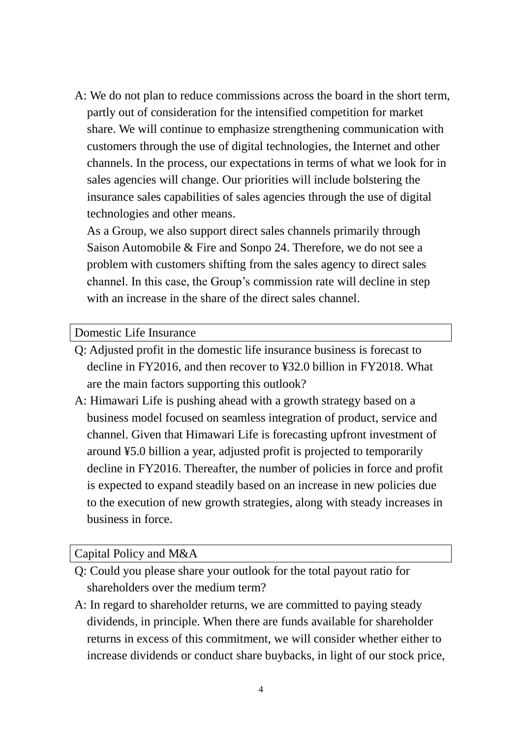A: We do not plan to reduce commissions across the board in the short term, partly out of consideration for the intensified competition for market share. We will continue to emphasize strengthening communication with customers through the use of digital technologies, the Internet and other channels. In the process, our expectations in terms of what we look for in sales agencies will change. Our priorities will include bolstering the insurance sales capabilities of sales agencies through the use of digital technologies and other means.

As a Group, we also support direct sales channels primarily through Saison Automobile & Fire and Sonpo 24. Therefore, we do not see a problem with customers shifting from the sales agency to direct sales channel. In this case, the Group's commission rate will decline in step with an increase in the share of the direct sales channel.

### Domestic Life Insurance

- Q: Adjusted profit in the domestic life insurance business is forecast to decline in FY2016, and then recover to ¥32.0 billion in FY2018. What are the main factors supporting this outlook?
- A: Himawari Life is pushing ahead with a growth strategy based on a business model focused on seamless integration of product, service and channel. Given that Himawari Life is forecasting upfront investment of around ¥5.0 billion a year, adjusted profit is projected to temporarily decline in FY2016. Thereafter, the number of policies in force and profit is expected to expand steadily based on an increase in new policies due to the execution of new growth strategies, along with steady increases in business in force.

## Capital Policy and M&A

- Q: Could you please share your outlook for the total payout ratio for shareholders over the medium term?
- A: In regard to shareholder returns, we are committed to paying steady dividends, in principle. When there are funds available for shareholder returns in excess of this commitment, we will consider whether either to increase dividends or conduct share buybacks, in light of our stock price,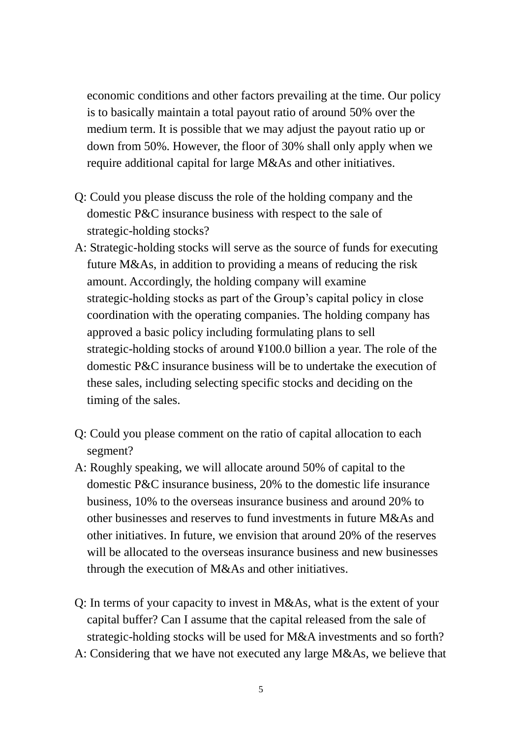economic conditions and other factors prevailing at the time. Our policy is to basically maintain a total payout ratio of around 50% over the medium term. It is possible that we may adjust the payout ratio up or down from 50%. However, the floor of 30% shall only apply when we require additional capital for large M&As and other initiatives.

- Q: Could you please discuss the role of the holding company and the domestic P&C insurance business with respect to the sale of strategic-holding stocks?
- A: Strategic-holding stocks will serve as the source of funds for executing future M&As, in addition to providing a means of reducing the risk amount. Accordingly, the holding company will examine strategic-holding stocks as part of the Group's capital policy in close coordination with the operating companies. The holding company has approved a basic policy including formulating plans to sell strategic-holding stocks of around ¥100.0 billion a year. The role of the domestic P&C insurance business will be to undertake the execution of these sales, including selecting specific stocks and deciding on the timing of the sales.
- Q: Could you please comment on the ratio of capital allocation to each segment?
- A: Roughly speaking, we will allocate around 50% of capital to the domestic P&C insurance business, 20% to the domestic life insurance business, 10% to the overseas insurance business and around 20% to other businesses and reserves to fund investments in future M&As and other initiatives. In future, we envision that around 20% of the reserves will be allocated to the overseas insurance business and new businesses through the execution of M&As and other initiatives.
- Q: In terms of your capacity to invest in M&As, what is the extent of your capital buffer? Can I assume that the capital released from the sale of strategic-holding stocks will be used for M&A investments and so forth?
- A: Considering that we have not executed any large M&As, we believe that